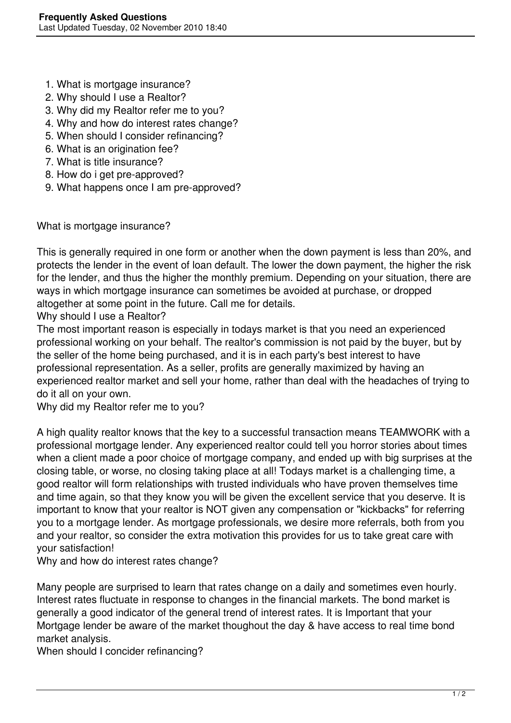- 1. What is mortgage insurance?
- 2. Why should I use a Realtor?
- 3. Why did my Realtor refer me to you?
- 4. Why and how do interest rates change?
- 5. When should I consider refinancing?
- 6. What is an origination fee?
- 7. What is title insurance?
- 8. How do i get pre-approved?
- 9. What happens once I am pre-approved?

What is mortgage insurance?

This is generally required in one form or another when the down payment is less than 20%, and protects the lender in the event of loan default. The lower the down payment, the higher the risk for the lender, and thus the higher the monthly premium. Depending on your situation, there are ways in which mortgage insurance can sometimes be avoided at purchase, or dropped altogether at some point in the future. Call me for details.

Why should I use a Realtor?

The most important reason is especially in todays market is that you need an experienced professional working on your behalf. The realtor's commission is not paid by the buyer, but by the seller of the home being purchased, and it is in each party's best interest to have professional representation. As a seller, profits are generally maximized by having an experienced realtor market and sell your home, rather than deal with the headaches of trying to do it all on your own.

Why did my Realtor refer me to you?

A high quality realtor knows that the key to a successful transaction means TEAMWORK with a professional mortgage lender. Any experienced realtor could tell you horror stories about times when a client made a poor choice of mortgage company, and ended up with big surprises at the closing table, or worse, no closing taking place at all! Todays market is a challenging time, a good realtor will form relationships with trusted individuals who have proven themselves time and time again, so that they know you will be given the excellent service that you deserve. It is important to know that your realtor is NOT given any compensation or "kickbacks" for referring you to a mortgage lender. As mortgage professionals, we desire more referrals, both from you and your realtor, so consider the extra motivation this provides for us to take great care with your satisfaction!

Why and how do interest rates change?

Many people are surprised to learn that rates change on a daily and sometimes even hourly. Interest rates fluctuate in response to changes in the financial markets. The bond market is generally a good indicator of the general trend of interest rates. It is Important that your Mortgage lender be aware of the market thoughout the day & have access to real time bond market analysis.

When should I concider refinancing?